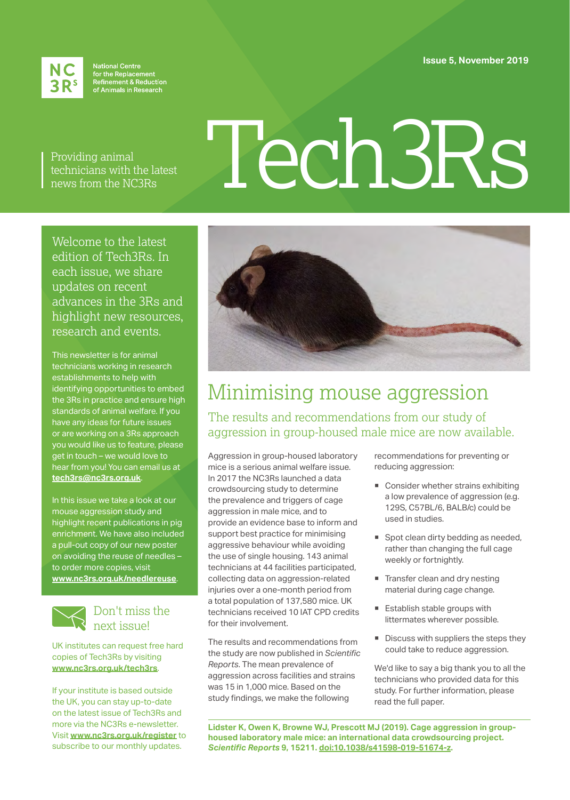**Issue 5, November 2019**



National Centre<br>for the Replacement<br>Refinement & Reduction<br>of Animals in Research

Providing animal technicians with the latest news from the NC3Rs

# Tech3Rs

Welcome to the latest edition of Tech3Rs. In each issue, we share updates on recent advances in the 3Rs and highlight new resources, research and events.

This newsletter is for animal technicians working in research establishments to help with identifying opportunities to embed the 3Rs in practice and ensure high standards of animal welfare. If you have any ideas for future issues or are working on a 3Rs approach you would like us to feature, please get in touch – we would love to hear from you! You can email us at **[tech3rs@nc3rs.org.uk](mailto:tech3rs%40nc3rs.org.uk?subject=)**.

In this issue we take a look at our mouse aggression study and highlight recent publications in pig enrichment. We have also included a pull-out copy of our new poster on avoiding the reuse of needles – to order more copies, visit **[www.nc3rs.org.uk/needlereuse](http://www.nc3rs.org.uk/needlereuse)**.



## Don't miss the next issue!

UK institutes can request free hard copies of Tech3Rs by visiting **[www.nc3rs.org.uk/tech3rs](http://www.nc3rs.org.uk/tech3rs)**.

If your institute is based outside the UK, you can stay up-to-date on the latest issue of Tech3Rs and more via the NC3Rs e-newsletter. Visit **[www.nc3rs.org.uk/register](http://www.nc3rs.org.uk/register)** to subscribe to our monthly updates.



## Minimising mouse aggression

The results and recommendations from our study of aggression in group-housed male mice are now available.

Aggression in group-housed laboratory mice is a serious animal welfare issue. In 2017 the NC3Rs launched a data crowdsourcing study to determine the prevalence and triggers of cage aggression in male mice, and to provide an evidence base to inform and support best practice for minimising aggressive behaviour while avoiding the use of single housing. 143 animal technicians at 44 facilities participated, collecting data on aggression-related injuries over a one-month period from a total population of 137,580 mice. UK technicians received 10 IAT CPD credits for their involvement.

The results and recommendations from the study are now published in *Scientific Reports*. The mean prevalence of aggression across facilities and strains was 15 in 1,000 mice. Based on the study findings, we make the following

recommendations for preventing or reducing aggression:

- Consider whether strains exhibiting a low prevalence of aggression (e.g. 129S, C57BL/6, BALB/c) could be used in studies.
- **Spot clean dirty bedding as needed,** rather than changing the full cage weekly or fortnightly.
- Transfer clean and dry nesting material during cage change.
- Establish stable groups with littermates wherever possible.
- Discuss with suppliers the steps they could take to reduce aggression.

We'd like to say a big thank you to all the technicians who provided data for this study. For further information, please read the full paper.

**Lidster K, Owen K, Browne WJ, Prescott MJ (2019). Cage aggression in grouphoused laboratory male mice: an international data crowdsourcing project.** *Scientific Reports* **9, 15211. [doi:10.1038/s41598-019-51674-z.](http://doi.org/10.1038/s41598-019-51674-z)**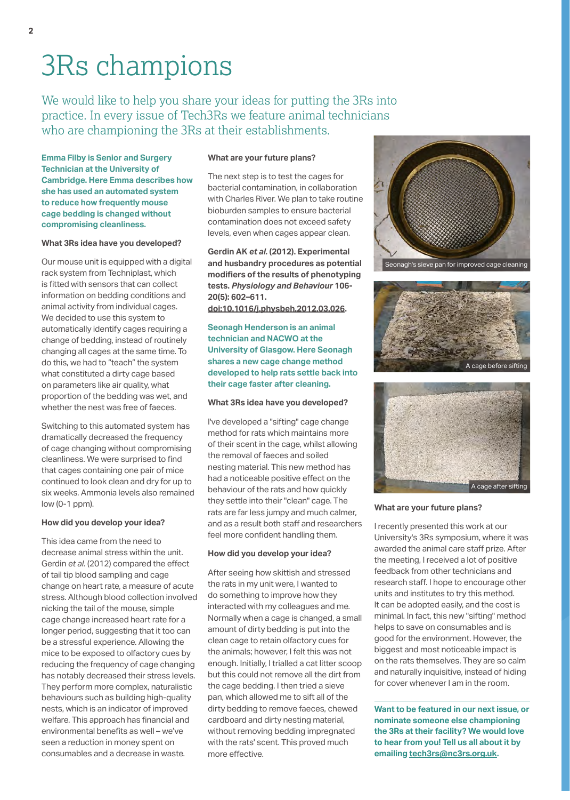## 3Rs champions

We would like to help you share your ideas for putting the 3Rs into practice. In every issue of Tech3Rs we feature animal technicians who are championing the 3Rs at their establishments.

**Emma Filby is Senior and Surgery Technician at the University of Cambridge. Here Emma describes how she has used an automated system to reduce how frequently mouse cage bedding is changed without compromising cleanliness.**

## **What 3Rs idea have you developed?**

Our mouse unit is equipped with a digital rack system from Techniplast, which is fitted with sensors that can collect information on bedding conditions and animal activity from individual cages. We decided to use this system to automatically identify cages requiring a change of bedding, instead of routinely changing all cages at the same time. To do this, we had to "teach" the system what constituted a dirty cage based on parameters like air quality, what proportion of the bedding was wet, and whether the nest was free of faeces.

Switching to this automated system has dramatically decreased the frequency of cage changing without compromising cleanliness. We were surprised to find that cages containing one pair of mice continued to look clean and dry for up to six weeks. Ammonia levels also remained low (0-1 ppm).

## **How did you develop your idea?**

This idea came from the need to decrease animal stress within the unit. Gerdin *et al.* (2012) compared the effect of tail tip blood sampling and cage change on heart rate, a measure of acute stress. Although blood collection involved nicking the tail of the mouse, simple cage change increased heart rate for a longer period, suggesting that it too can be a stressful experience. Allowing the mice to be exposed to olfactory cues by reducing the frequency of cage changing has notably decreased their stress levels. They perform more complex, naturalistic behaviours such as building high-quality nests, which is an indicator of improved welfare. This approach has financial and environmental benefits as well – we've seen a reduction in money spent on consumables and a decrease in waste.

### **What are your future plans?**

The next step is to test the cages for bacterial contamination, in collaboration with Charles River. We plan to take routine bioburden samples to ensure bacterial contamination does not exceed safety levels, even when cages appear clean.

**Gerdin AK** *et al.* **(2012). Experimental and husbandry procedures as potential modifiers of the results of phenotyping tests.** *Physiology and Behaviour* **106- 20(5): 602–611.**

**[doi:10.1016/j.physbeh.2012.03.026.](http://www.doi.org/10.1016/j.physbeh.2012.03.026)**

**Seonagh Henderson is an animal technician and NACWO at the University of Glasgow. Here Seonagh shares a new cage change method developed to help rats settle back into their cage faster after cleaning.**

#### **What 3Rs idea have you developed?**

I've developed a "sifting" cage change method for rats which maintains more of their scent in the cage, whilst allowing the removal of faeces and soiled nesting material. This new method has had a noticeable positive effect on the behaviour of the rats and how quickly they settle into their "clean" cage. The rats are far less jumpy and much calmer, and as a result both staff and researchers feel more confident handling them.

#### **How did you develop your idea?**

After seeing how skittish and stressed the rats in my unit were, I wanted to do something to improve how they interacted with my colleagues and me. Normally when a cage is changed, a small amount of dirty bedding is put into the clean cage to retain olfactory cues for the animals; however, I felt this was not enough. Initially, I trialled a cat litter scoop but this could not remove all the dirt from the cage bedding. I then tried a sieve pan, which allowed me to sift all of the dirty bedding to remove faeces, chewed cardboard and dirty nesting material, without removing bedding impregnated with the rats' scent. This proved much more effective.



Seonagh's sieve pan for improved cage cleaning





### **What are your future plans?**

I recently presented this work at our University's 3Rs symposium, where it was awarded the animal care staff prize. After the meeting, I received a lot of positive feedback from other technicians and research staff. I hope to encourage other units and institutes to try this method. It can be adopted easily, and the cost is minimal. In fact, this new "sifting" method helps to save on consumables and is good for the environment. However, the biggest and most noticeable impact is on the rats themselves. They are so calm and naturally inquisitive, instead of hiding for cover whenever I am in the room.

**Want to be featured in our next issue, or nominate someone else championing the 3Rs at their facility? We would love to hear from you! Tell us all about it by emailing tech3rs@nc3rs.org.uk.**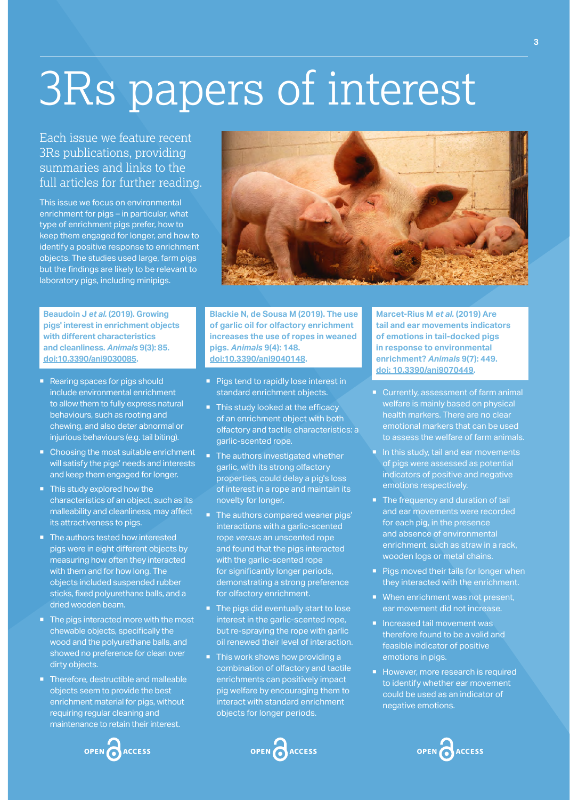## 3Rs papers of interest

## Each issue we feature recent 3Rs publications, providing summaries and links to the full articles for further reading.

This issue we focus on environmental enrichment for pigs – in particular, what type of enrichment pigs prefer, how to keep them engaged for longer, and how to identify a positive response to enrichment objects. The studies used large, farm pigs but the findings are likely to be relevant to laboratory pigs, including minipigs.

**Beaudoin J** *et al.* **(2019). Growing pigs' interest in enrichment objects with different characteristics and cleanliness.** *Animals* **9(3): 85. [doi:10.3390/ani9030085.](http://doi.org/10.3390/ani9030085)**

- Rearing spaces for pigs should include environmental enrichment to allow them to fully express natural behaviours, such as rooting and chewing, and also deter abnormal or injurious behaviours (e.g. tail biting).
- Choosing the most suitable enrichment will satisfy the pigs' needs and interests and keep them engaged for longer.
- This study explored how the characteristics of an object, such as its malleability and cleanliness, may affect its attractiveness to pigs.
- The authors tested how interested pigs were in eight different objects by measuring how often they interacted with them and for how long. The objects included suspended rubber sticks, fixed polyurethane balls, and a dried wooden beam.
- The pigs interacted more with the most chewable objects, specifically the wood and the polyurethane balls, and showed no preference for clean over dirty objects.
- Therefore, destructible and malleable objects seem to provide the best enrichment material for pigs, without requiring regular cleaning and maintenance to retain their interest.





**Blackie N, de Sousa M (2019). The use of garlic oil for olfactory enrichment increases the use of ropes in weaned pigs.** *Animals* **9(4): 148. [doi:10.3390/ani9040148](http://doi.org/10.3390/ani9040148).**

- **Pigs tend to rapidly lose interest in** standard enrichment objects.
- This study looked at the efficacy of an enrichment object with both olfactory and tactile characteristics: a garlic-scented rope.
- The authors investigated whether garlic, with its strong olfactory properties, could delay a pig's loss of interest in a rope and maintain its novelty for longer.
- The authors compared weaner pigs' interactions with a garlic-scented rope *versus* an unscented rope and found that the pigs interacted with the garlic-scented rope for significantly longer periods, demonstrating a strong preference for olfactory enrichment.
- The pigs did eventually start to lose interest in the garlic-scented rope, but re-spraying the rope with garlic oil renewed their level of interaction.
- This work shows how providing a combination of olfactory and tactile enrichments can positively impact pig welfare by encouraging them to interact with standard enrichment objects for longer periods.

OPEN CACCESS

**Marcet-Rius M** *et al.* **(2019) Are tail and ear movements indicators of emotions in tail-docked pigs in response to environmental enrichment?** *Animals* **9(7): 449. [doi: 10.3390/ani9070449.](http://doi.org/10.3390/ani9070449)**

- Currently, assessment of farm animal welfare is mainly based on physical health markers. There are no clear emotional markers that can be used to assess the welfare of farm animals.
- In this study, tail and ear movements of pigs were assessed as potential indicators of positive and negative emotions respectively.
- The frequency and duration of tail and ear movements were recorded for each pig, in the presence and absence of environmental enrichment, such as straw in a rack, wooden logs or metal chains.
- Pigs moved their tails for longer when they interacted with the enrichment.
- When enrichment was not present, ear movement did not increase.
- **Increased tail movement was** therefore found to be a valid and feasible indicator of positive emotions in pigs.
- However, more research is required to identify whether ear movement could be used as an indicator of negative emotions.



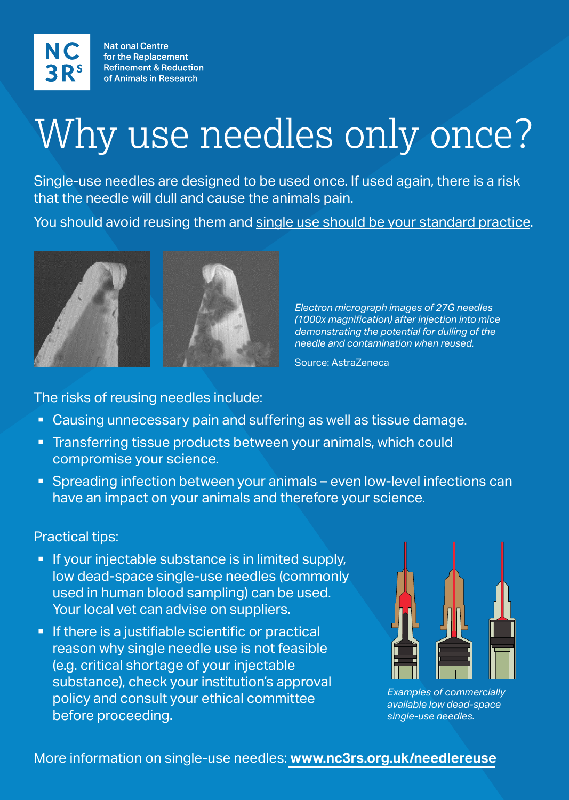**National Centre** for the Replacement **Refinement & Reduction** of Animals in Research

# Why use needles only once?

Single-use needles are designed to be used once. If used again, there is a risk that the needle will dull and cause the animals pain.

You should avoid reusing them and single use should be your standard practice.



## More information on single-use needles: **www.nc3rs.org.uk/needlereuse**

The risks of reusing needles include:

- Causing unnecessary pain and suffering as well as tissue damage.
- **Transferring tissue products between your animals, which could** compromise your science.
- Spreading infection between your animals even low-level infections can have an impact on your animals and therefore your science.

**If there is a justifiable scientific or practical** reason why single needle use is not feasible (e.g. critical shortage of your injectable substance), check your institution's approval policy and consult your ethical committee before proceeding.

## Practical tips:

**If your injectable substance is in limited supply,** low dead-space single-use needles (commonly used in human blood sampling) can be used.



Your local vet can advise on suppliers.

*Examples of commercially available low dead-space single-use needles.* 

*Electron micrograph images of 27G needles (1000x magnification) after injection into mice demonstrating the potential for dulling of the needle and contamination when reused.*

Source: AstraZeneca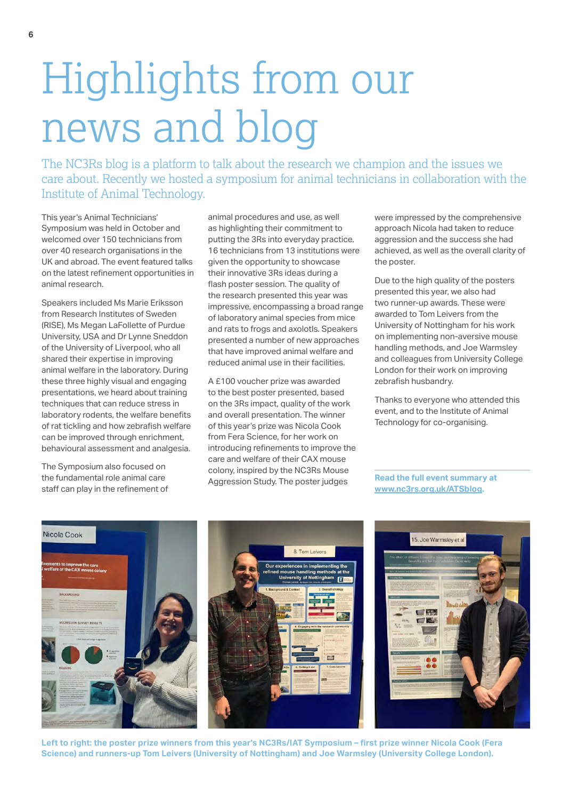## Highlights from our news and blog

The NC3Rs blog is a platform to talk about the research we champion and the issues we care about. Recently we hosted a symposium for animal technicians in collaboration with the Institute of Animal Technology.

This year's Animal Technicians' Symposium was held in October and welcomed over 150 technicians from over 40 research organisations in the UK and abroad. The event featured talks on the latest refinement opportunities in animal research.

Speakers included Ms Marie Eriksson from Research Institutes of Sweden (RISE), Ms Megan LaFollette of Purdue University, USA and Dr Lynne Sneddon of the University of Liverpool, who all shared their expertise in improving animal welfare in the laboratory. During these three highly visual and engaging presentations, we heard about training techniques that can reduce stress in laboratory rodents, the welfare benefits of rat tickling and how zebrafish welfare can be improved through enrichment, behavioural assessment and analgesia.

The Symposium also focused on the fundamental role animal care staff can play in the refinement of animal procedures and use, as well as highlighting their commitment to putting the 3Rs into everyday practice. 16 technicians from 13 institutions were given the opportunity to showcase their innovative 3Rs ideas during a flash poster session. The quality of the research presented this year was impressive, encompassing a broad range of laboratory animal species from mice and rats to frogs and axolotls. Speakers presented a number of new approaches that have improved animal welfare and reduced animal use in their facilities.

A £100 voucher prize was awarded to the best poster presented, based on the 3Rs impact, quality of the work and overall presentation. The winner of this year's prize was Nicola Cook from Fera Science, for her work on introducing refinements to improve the care and welfare of their CAX mouse colony, inspired by the NC3Rs Mouse Aggression Study. The poster judges

were impressed by the comprehensive approach Nicola had taken to reduce aggression and the success she had achieved, as well as the overall clarity of the poster.

Due to the high quality of the posters presented this year, we also had two runner-up awards. These were awarded to Tom Leivers from the University of Nottingham for his work on implementing non-aversive mouse handling methods, and Joe Warmsley and colleagues from University College London for their work on improving zebrafish husbandry.

Thanks to everyone who attended this event, and to the Institute of Animal Technology for co-organising.

**Read the full event summary at www.nc3rs.org.uk/ATSblog.**



**Left to right: the poster prize winners from this year's NC3Rs/IAT Symposium – first prize winner Nicola Cook (Fera Science) and runners-up Tom Leivers (University of Nottingham) and Joe Warmsley (University College London).**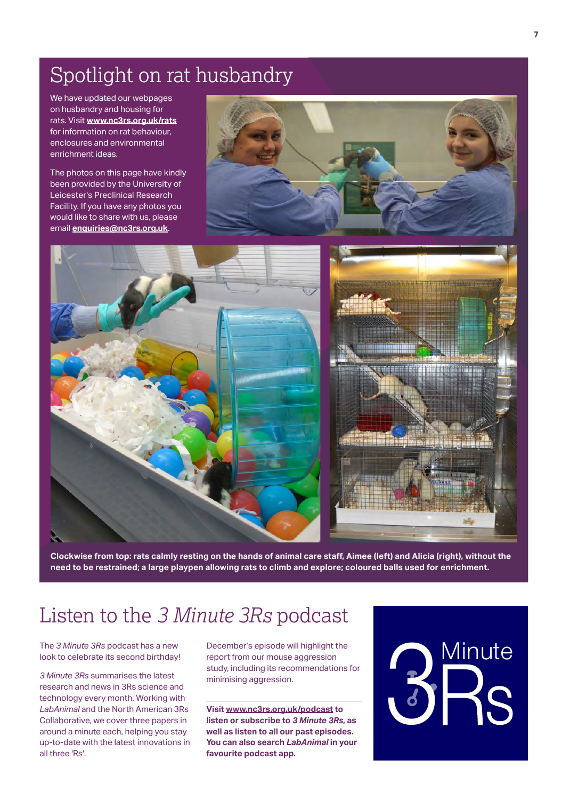## Spotlight on rat husbandry

We have updated our webpages on husbandry and housing for rats. Visit **[www.nc3rs.org.uk/rats](http://www.nc3rs.org.uk/rats)** for information on rat behaviour, enclosures and environmental enrichment ideas.

The photos on this page have kindly been provided by the University of Leicester's Preclinical Research Facility. If you have any photos you would like to share with us, please email **enquiries@nc3rs.org.uk**.





**Clockwise from top: rats calmly resting on the hands of animal care staff, Aimee (left) and Alicia (right), without the need to be restrained; a large playpen allowing rats to climb and explore; coloured balls used for enrichment.**

## Listen to the *3 Minute 3Rs* podcast

The *3 Minute 3Rs* podcast has a new look to celebrate its second birthday!

*3 Minute 3Rs* summarises the latest research and news in 3Rs science and technology every month. Working with *LabAnimal* and the North American 3Rs Collaborative, we cover three papers in around a minute each, helping you stay up-to-date with the latest innovations in all three 'Rs'.

December's episode will highlight the report from our mouse aggression study, including its recommendations for minimising aggression.

**Visit [www.nc3rs.org.uk/podcast](http://www.nc3rs.org.uk/podcast) to listen or subscribe to** *3 Minute 3Rs***, as well as listen to all our past episodes. You can also search** *LabAnimal* **in your favourite podcast app.**